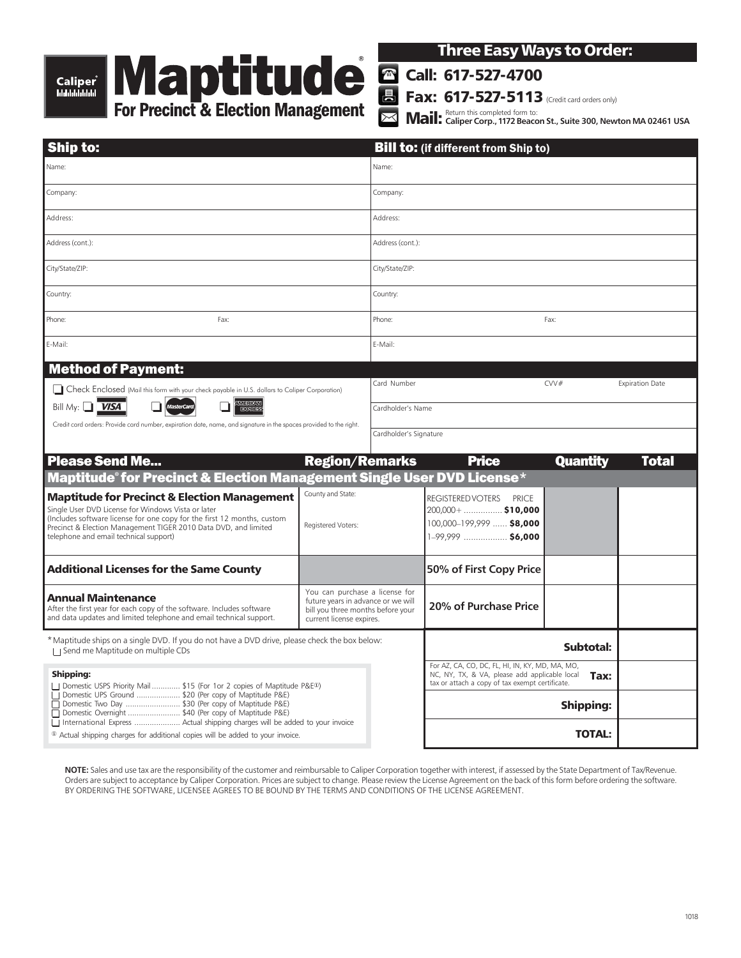# Caliper ๊<br><sup>ЫЫЫЫЫ</sup>



Three Easy Ways to Order:

Call: 617-527-4700

Fax: 617-527-5113 (Credit card orders only)

 $\overline{\times}$ Mail: Return this completed form to: **Caliper Corp., 1172 Beacon St., Suite 300, Newton MA 02461 USA**

| <b>Ship to:</b>                                                                                                                                                                                                                                                                                                                                                                                                                                      |                                                                                                                                       | <b>Bill to: (if different from Ship to)</b> |                                                                                                                                                             |                 |                        |
|------------------------------------------------------------------------------------------------------------------------------------------------------------------------------------------------------------------------------------------------------------------------------------------------------------------------------------------------------------------------------------------------------------------------------------------------------|---------------------------------------------------------------------------------------------------------------------------------------|---------------------------------------------|-------------------------------------------------------------------------------------------------------------------------------------------------------------|-----------------|------------------------|
| Name:                                                                                                                                                                                                                                                                                                                                                                                                                                                |                                                                                                                                       | Name:                                       |                                                                                                                                                             |                 |                        |
| Company:                                                                                                                                                                                                                                                                                                                                                                                                                                             |                                                                                                                                       | Company:                                    |                                                                                                                                                             |                 |                        |
| Address:                                                                                                                                                                                                                                                                                                                                                                                                                                             |                                                                                                                                       | Address:                                    |                                                                                                                                                             |                 |                        |
| Address (cont.):                                                                                                                                                                                                                                                                                                                                                                                                                                     |                                                                                                                                       | Address (cont.):                            |                                                                                                                                                             |                 |                        |
| City/State/ZIP:                                                                                                                                                                                                                                                                                                                                                                                                                                      |                                                                                                                                       | City/State/ZIP:                             |                                                                                                                                                             |                 |                        |
| Country:                                                                                                                                                                                                                                                                                                                                                                                                                                             |                                                                                                                                       | Country:                                    |                                                                                                                                                             |                 |                        |
| Phone:<br>Fax:                                                                                                                                                                                                                                                                                                                                                                                                                                       |                                                                                                                                       | Phone:                                      | Fax:                                                                                                                                                        |                 |                        |
| E-Mail:                                                                                                                                                                                                                                                                                                                                                                                                                                              |                                                                                                                                       | E-Mail:                                     |                                                                                                                                                             |                 |                        |
| <b>Method of Payment:</b>                                                                                                                                                                                                                                                                                                                                                                                                                            |                                                                                                                                       |                                             |                                                                                                                                                             |                 |                        |
| Check Enclosed (Mail this form with your check payable in U.S. dollars to Caliper Corporation)<br><b>AMERICAN</b><br>Bill My: $\Box$ <i>VISA</i><br><b>MasterCard</b><br><b>DOM:R</b><br>Credit card orders: Provide card number, expiration date, name, and signature in the spaces provided to the right.                                                                                                                                          |                                                                                                                                       | Card Number                                 |                                                                                                                                                             | CVV#            | <b>Expiration Date</b> |
|                                                                                                                                                                                                                                                                                                                                                                                                                                                      |                                                                                                                                       | Cardholder's Name                           |                                                                                                                                                             |                 |                        |
|                                                                                                                                                                                                                                                                                                                                                                                                                                                      |                                                                                                                                       | Cardholder's Signature                      |                                                                                                                                                             |                 |                        |
|                                                                                                                                                                                                                                                                                                                                                                                                                                                      |                                                                                                                                       |                                             |                                                                                                                                                             |                 |                        |
| <b>Please Send Me</b>                                                                                                                                                                                                                                                                                                                                                                                                                                | <b>Region/Remarks</b>                                                                                                                 |                                             | <b>Price</b>                                                                                                                                                | <b>Quantity</b> | Total                  |
| Maptitude® for Precinct & Election Management Single User DVD License*                                                                                                                                                                                                                                                                                                                                                                               |                                                                                                                                       |                                             |                                                                                                                                                             |                 |                        |
| <b>Maptitude for Precinct &amp; Election Management</b><br>Single User DVD License for Windows Vista or later                                                                                                                                                                                                                                                                                                                                        | County and State:                                                                                                                     |                                             | <b>REGISTERED VOTERS</b><br><b>PRICE</b><br>$200,000+$ \$10,000                                                                                             |                 |                        |
| (Includes software license for one copy for the first 12 months, custom<br>Precinct & Election Management TIGER 2010 Data DVD, and limited                                                                                                                                                                                                                                                                                                           | Registered Voters:                                                                                                                    |                                             | 100,000-199,999  \$8,000                                                                                                                                    |                 |                        |
| telephone and email technical support)                                                                                                                                                                                                                                                                                                                                                                                                               |                                                                                                                                       |                                             | 1-99,999  \$6,000                                                                                                                                           |                 |                        |
| <b>Additional Licenses for the Same County</b>                                                                                                                                                                                                                                                                                                                                                                                                       |                                                                                                                                       |                                             | 50% of First Copy Price                                                                                                                                     |                 |                        |
| Annual Maintenance                                                                                                                                                                                                                                                                                                                                                                                                                                   | You can purchase a license for<br>future years in advance or we will<br>bill you three months before your<br>current license expires. |                                             |                                                                                                                                                             |                 |                        |
| After the first year for each copy of the software. Includes software<br>and data updates and limited telephone and email technical support.                                                                                                                                                                                                                                                                                                         |                                                                                                                                       |                                             | 20% of Purchase Price                                                                                                                                       |                 |                        |
| * Maptitude ships on a single DVD. If you do not have a DVD drive, please check the box below:<br>Send me Maptitude on multiple CDs                                                                                                                                                                                                                                                                                                                  |                                                                                                                                       |                                             | Subtotal:                                                                                                                                                   |                 |                        |
| <b>Shipping:</b>                                                                                                                                                                                                                                                                                                                                                                                                                                     |                                                                                                                                       |                                             | For AZ, CA, CO, DC, FL, HI, IN, KY, MD, MA, MO,<br>NC, NY, TX, & VA, please add applicable local<br>Tax:<br>tax or attach a copy of tax exempt certificate. |                 |                        |
| □ Domestic USPS Priority Mail  \$15 (For 1or 2 copies of Maptitude P&E <sup>®</sup> )<br>  Domestic UPS Ground  \$20 (Per copy of Maptitude P&E)<br>    Domestic Two Day  \$30 (Per copy of Maptitude P&E)<br>  Domestic Overnight  \$40 (Per copy of Maptitude P&E)<br>  International Express  Actual shipping charges will be added to your invoice<br><sup>10</sup> Actual shipping charges for additional copies will be added to your invoice. |                                                                                                                                       |                                             | <b>Shipping:</b>                                                                                                                                            |                 |                        |
|                                                                                                                                                                                                                                                                                                                                                                                                                                                      |                                                                                                                                       |                                             |                                                                                                                                                             |                 |                        |
|                                                                                                                                                                                                                                                                                                                                                                                                                                                      |                                                                                                                                       |                                             |                                                                                                                                                             | <b>TOTAL:</b>   |                        |

**NOTE:** Sales and use tax are the responsibility of the customer and reimbursable to Caliper Corporation together with interest, if assessed by the State Department of Tax/Revenue. Orders are subject to acceptance by Caliper Corporation. Prices are subject to change. Please review the License Agreement on the back of this form before ordering the software. BY ORDERING THE SOFTWARE, LICENSEE AGREES TO BE BOUND BY THE TERMS AND CONDITIONS OF THE LICENSE AGREEMENT.